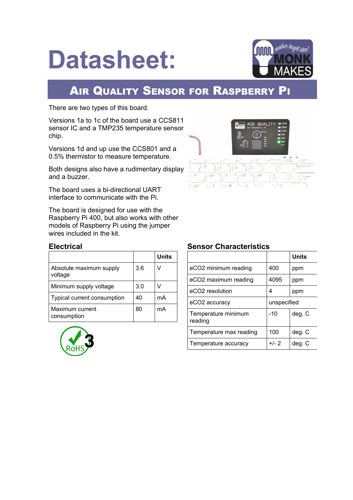# **Datasheet:**



# **AIR QUALITY SENSOR FOR RASPBERRY PI**

There are two types of this board.

Versions 1a to 1c of the board use a CCS811 sensor IC and a TMP235 temperature sensor chip.

Versions 1d and up use the CCS801 and a 0.5% thermistor to measure temperature.

Both designs also have a rudimentary display and a buzzer.

The board uses a bi-directional UART interface to communicate with the Pi.

The board is designed for use with the Raspberry Pi 400, but also works with other models of Raspberry Pi using the jumper wires included in the kit.



#### **Electrical**

|                                    |     | <b>Units</b> |
|------------------------------------|-----|--------------|
| Absolute maximum supply<br>voltage | 3.6 | V            |
| Minimum supply voltage             | 3.0 |              |
| Typical current consumption        | 40  | mA           |
| Maximum current<br>consumption     | 80  | mA           |



#### **Sensor Characteristics**

|                                |             | <b>Units</b> |  |
|--------------------------------|-------------|--------------|--|
| eCO2 minimum reading           | 400         | ppm          |  |
| eCO2 maximum reading           | 4095        | ppm          |  |
| eCO <sub>2</sub> resolution    | 4           | ppm          |  |
| eCO <sub>2</sub> accuracy      | unspecified |              |  |
| Temperature minimum<br>reading | $-10$       | deg. C       |  |
| Temperature max reading<br>100 |             | deg. C       |  |
| Temperature accuracy           | $+/- 2$     | deg. C       |  |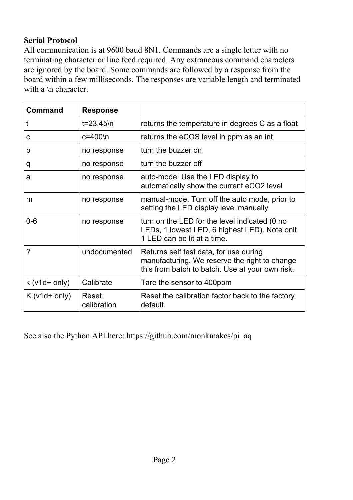#### **Serial Protocol**

All communication is at 9600 baud 8N1. Commands are a single letter with no terminating character or line feed required. Any extraneous command characters are ignored by the board. Some commands are followed by a response from the board within a few milliseconds. The responses are variable length and terminated with a \n character.

| Command       | <b>Response</b>      |                                                                                                                                            |
|---------------|----------------------|--------------------------------------------------------------------------------------------------------------------------------------------|
|               | t=23.45\n            | returns the temperature in degrees C as a float                                                                                            |
| с             | c=400\n              | returns the eCOS level in ppm as an int                                                                                                    |
| b             | no response          | turn the buzzer on                                                                                                                         |
| q             | no response          | turn the buzzer off                                                                                                                        |
| a             | no response          | auto-mode. Use the LED display to<br>automatically show the current eCO2 level                                                             |
| m             | no response          | manual-mode. Turn off the auto mode, prior to<br>setting the LED display level manually                                                    |
| $0 - 6$       | no response          | turn on the LED for the level indicated (0 no<br>LEDs, 1 lowest LED, 6 highest LED). Note onlt<br>1 I FD can be lit at a time.             |
| ?             | undocumented         | Returns self test data, for use during<br>manufacturing. We reserve the right to change<br>this from batch to batch. Use at your own risk. |
| $k(v1d+only)$ | Calibrate            | Tare the sensor to 400ppm                                                                                                                  |
| $K(v1d+only)$ | Reset<br>calibration | Reset the calibration factor back to the factory<br>default.                                                                               |

See also the Python API here: https://github.com/monkmakes/pi\_aq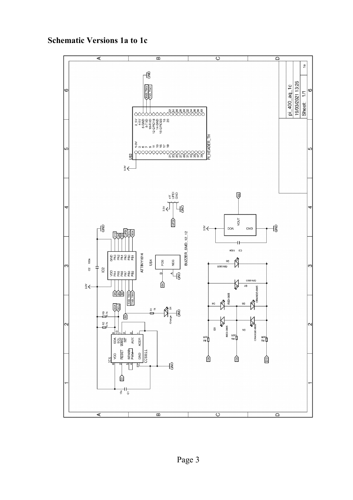

## **Schematic Versions 1a to 1c**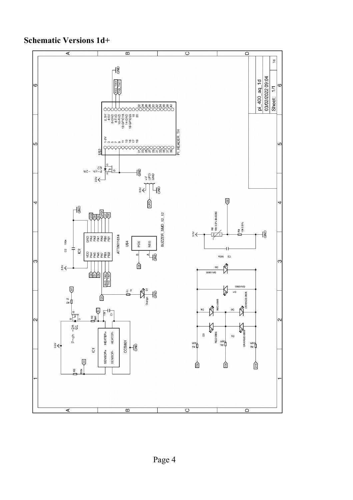**Schematic Versions 1d+**